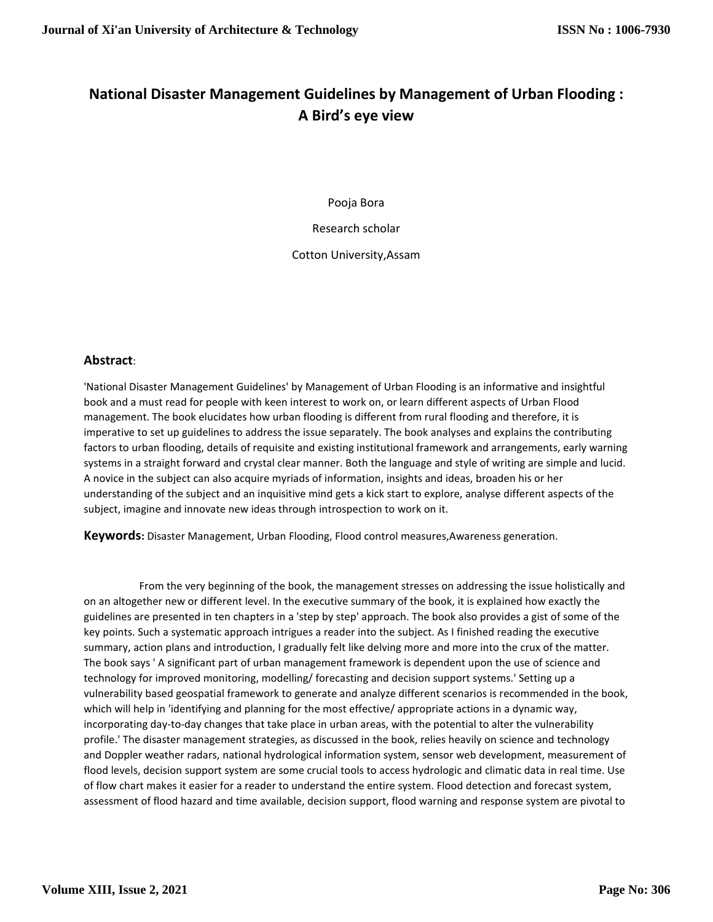## **National Disaster Management Guidelines by Management of Urban Flooding : A Bird's eye view**

Pooja Bora

Research scholar

Cotton University,Assam

## **Abstract**:

'National Disaster Management Guidelines' by Management of Urban Flooding is an informative and insightful book and a must read for people with keen interest to work on, or learn different aspects of Urban Flood management. The book elucidates how urban flooding is different from rural flooding and therefore, it is imperative to set up guidelines to address the issue separately. The book analyses and explains the contributing factors to urban flooding, details of requisite and existing institutional framework and arrangements, early warning systems in a straight forward and crystal clear manner. Both the language and style of writing are simple and lucid. A novice in the subject can also acquire myriads of information, insights and ideas, broaden his or her understanding of the subject and an inquisitive mind gets a kick start to explore, analyse different aspects of the subject, imagine and innovate new ideas through introspection to work on it.

**Keywords:** Disaster Management, Urban Flooding, Flood control measures,Awareness generation.

 From the very beginning of the book, the management stresses on addressing the issue holistically and on an altogether new or different level. In the executive summary of the book, it is explained how exactly the guidelines are presented in ten chapters in a 'step by step' approach. The book also provides a gist of some of the key points. Such a systematic approach intrigues a reader into the subject. As I finished reading the executive summary, action plans and introduction, I gradually felt like delving more and more into the crux of the matter. The book says ' A significant part of urban management framework is dependent upon the use of science and technology for improved monitoring, modelling/ forecasting and decision support systems.' Setting up a vulnerability based geospatial framework to generate and analyze different scenarios is recommended in the book, which will help in 'identifying and planning for the most effective/ appropriate actions in a dynamic way, incorporating day-to-day changes that take place in urban areas, with the potential to alter the vulnerability profile.' The disaster management strategies, as discussed in the book, relies heavily on science and technology and Doppler weather radars, national hydrological information system, sensor web development, measurement of flood levels, decision support system are some crucial tools to access hydrologic and climatic data in real time. Use of flow chart makes it easier for a reader to understand the entire system. Flood detection and forecast system, assessment of flood hazard and time available, decision support, flood warning and response system are pivotal to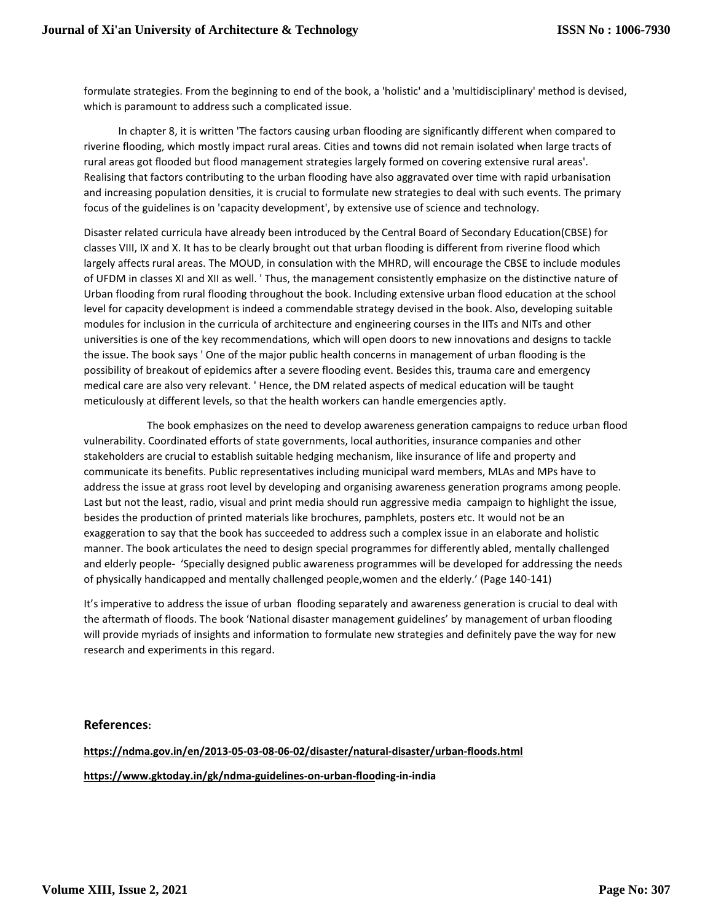formulate strategies. From the beginning to end of the book, a 'holistic' and a 'multidisciplinary' method is devised, which is paramount to address such a complicated issue.

 In chapter 8, it is written 'The factors causing urban flooding are significantly different when compared to riverine flooding, which mostly impact rural areas. Cities and towns did not remain isolated when large tracts of rural areas got flooded but flood management strategies largely formed on covering extensive rural areas'. Realising that factors contributing to the urban flooding have also aggravated over time with rapid urbanisation and increasing population densities, it is crucial to formulate new strategies to deal with such events. The primary focus of the guidelines is on 'capacity development', by extensive use of science and technology.

Disaster related curricula have already been introduced by the Central Board of Secondary Education(CBSE) for classes VIII, IX and X. It has to be clearly brought out that urban flooding is different from riverine flood which largely affects rural areas. The MOUD, in consulation with the MHRD, will encourage the CBSE to include modules of UFDM in classes XI and XII as well. ' Thus, the management consistently emphasize on the distinctive nature of Urban flooding from rural flooding throughout the book. Including extensive urban flood education at the school level for capacity development is indeed a commendable strategy devised in the book. Also, developing suitable modules for inclusion in the curricula of architecture and engineering courses in the IITs and NITs and other universities is one of the key recommendations, which will open doors to new innovations and designs to tackle the issue. The book says ' One of the major public health concerns in management of urban flooding is the possibility of breakout of epidemics after a severe flooding event. Besides this, trauma care and emergency medical care are also very relevant. ' Hence, the DM related aspects of medical education will be taught meticulously at different levels, so that the health workers can handle emergencies aptly.

 The book emphasizes on the need to develop awareness generation campaigns to reduce urban flood vulnerability. Coordinated efforts of state governments, local authorities, insurance companies and other stakeholders are crucial to establish suitable hedging mechanism, like insurance of life and property and communicate its benefits. Public representatives including municipal ward members, MLAs and MPs have to address the issue at grass root level by developing and organising awareness generation programs among people. Last but not the least, radio, visual and print media should run aggressive media campaign to highlight the issue, besides the production of printed materials like brochures, pamphlets, posters etc. It would not be an exaggeration to say that the book has succeeded to address such a complex issue in an elaborate and holistic manner. The book articulates the need to design special programmes for differently abled, mentally challenged and elderly people- 'Specially designed public awareness programmes will be developed for addressing the needs of physically handicapped and mentally challenged people,women and the elderly.' (Page 140-141)

It's imperative to address the issue of urban flooding separately and awareness generation is crucial to deal with the aftermath of floods. The book 'National disaster management guidelines' by management of urban flooding will provide myriads of insights and information to formulate new strategies and definitely pave the way for new research and experiments in this regard.

## **References:**

**https://ndma.gov.in/en/2013-05-03-08-06-02/disaster/natural-disaster/urban-floods.html https://www.gktoday.in/gk/ndma-guidelines-on-urban-flooding-in-india**